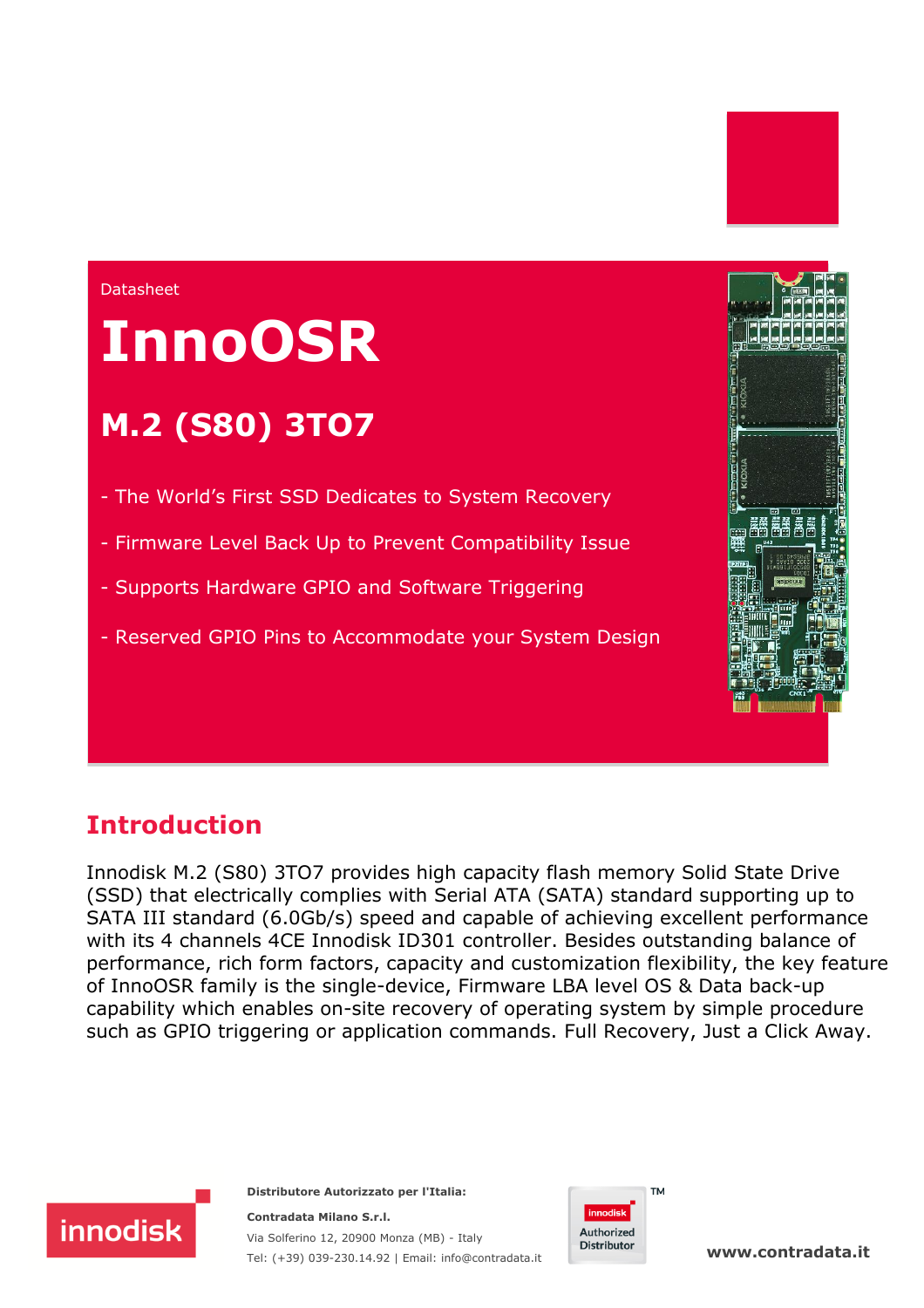#### **Datasheet**

# **InnoOSR**

# **M.2 (S80) 3TO7**

- The World's First SSD Dedicates to System Recovery
- Firmware Level Back Up to Prevent Compatibility Issue
- Supports Hardware GPIO and Software Triggering
- Reserved GPIO Pins to Accommodate your System Design

### **Introduction**

Innodisk M.2 (S80) 3TO7 provides high capacity flash memory Solid State Drive (SSD) that electrically complies with Serial ATA (SATA) standard supporting up to SATA III standard (6.0Gb/s) speed and capable of achieving excellent performance with its 4 channels 4CE Innodisk ID301 controller. Besides outstanding balance of performance, rich form factors, capacity and customization flexibility, the key feature of InnoOSR family is the single-device, Firmware LBA level OS & Data back-up capability which enables on-site recovery of operating system by simple procedure such as GPIO triggering or application commands. Full Recovery, Just a Click Away.



**Distributore Autorizzato per l'Italia: Contradata Milano S.r.l.** Via Solferino 12, 20900 Monza (MB) - Italy

Tel: (+39) 039-230.14.92 | Email: [info@contradata.it](mailto:info@contradata.it)



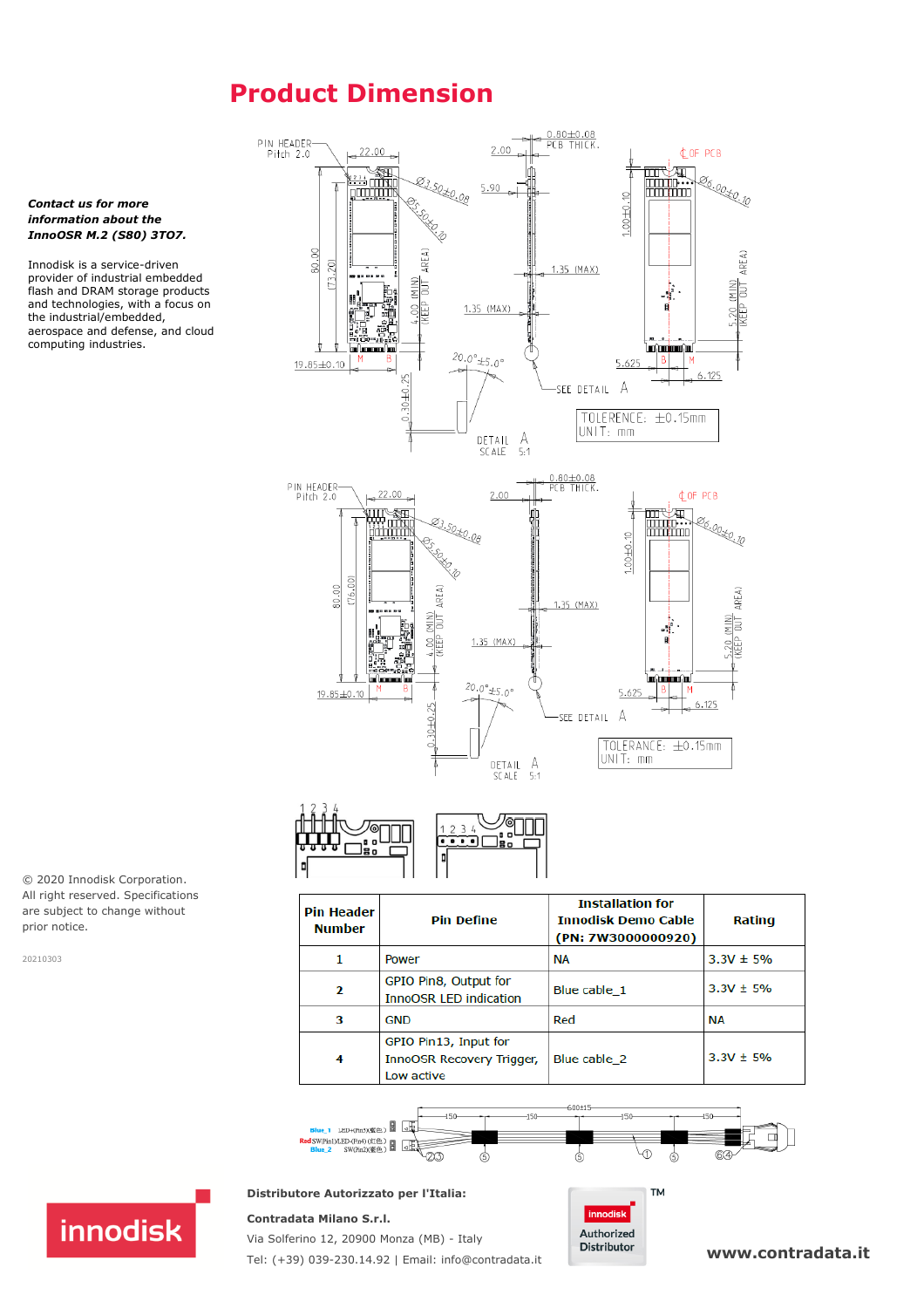# **Product Dimension**





| <b>Pin Header</b><br><b>Number</b> | <b>Pin Define</b>                                                       | <b>Installation for</b><br><b>Innodisk Demo Cable</b><br>(PN: 7W3000000920) | Rating        |
|------------------------------------|-------------------------------------------------------------------------|-----------------------------------------------------------------------------|---------------|
| 1                                  | Power                                                                   | <b>NA</b>                                                                   | $3.3V \pm 5%$ |
| 2                                  | GPIO Pin8, Output for<br><b>InnoOSR LED indication</b>                  | Blue cable 1                                                                | $3.3V + 5%$   |
| з                                  | <b>GND</b>                                                              | Red                                                                         | <b>NA</b>     |
| 4                                  | GPIO Pin13, Input for<br><b>InnoOSR Recovery Trigger,</b><br>Low active | Blue cable 2                                                                | $3.3V \pm 5%$ |



#### **Distributore Autorizzato per l'Italia:**

#### **Contradata Milano S.r.l.**



*Contact us for more information about the InnoOSR M.2 (S80) 3TO7.* Innodisk is a service-driven provider of industrial embedded flash and DRAM storage products and technologies, with a focus on the industrial/embedded, aerospace and defense, and cloud

computing industries.

© 2020 Innodisk Corporation. All right reserved. Specifications are subject to change without prior notice.

20210303



Via Solferino 12, 20900 Monza (MB) - Italy Tel: (+39) 039-230.14.92 | Email: [info@contradata.it](mailto:info@contradata.it)